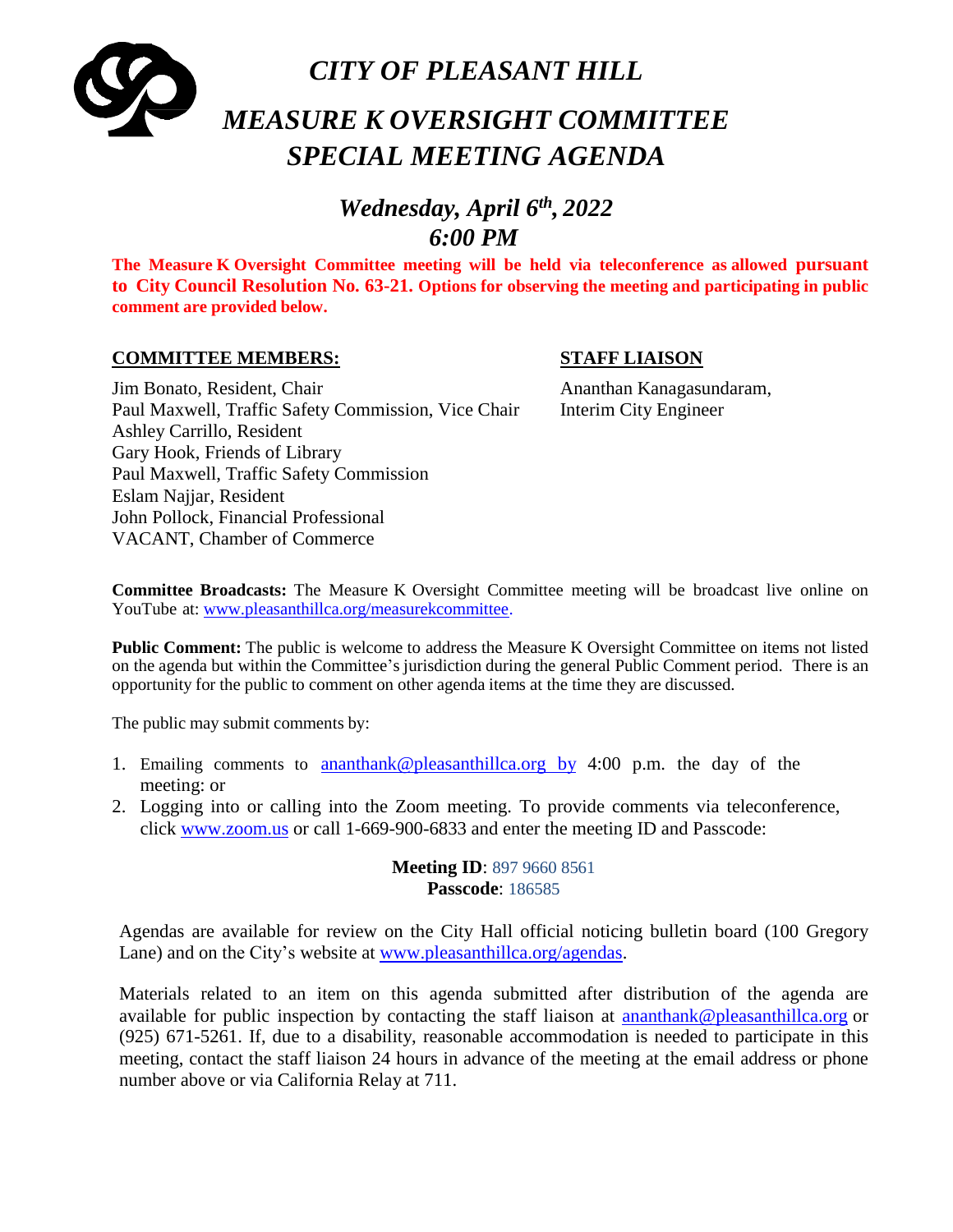

# *Wednesday, April 6th , 2022 6:00 PM*

**The Measure K Oversight Committee meeting will be held via teleconference as allowed pursuant to City Council Resolution No. 63-21. Options for observing the meeting and participating in public comment are provided below.**

#### **COMMITTEE MEMBERS: STAFF LIAISON**

#### Jim Bonato, Resident, Chair Ananthan Kanagasundaram, Paul Maxwell, Traffic Safety Commission, Vice Chair Interim City Engineer Ashley Carrillo, Resident Gary Hook, Friends of Library Paul Maxwell, Traffic Safety Commission Eslam Najjar, Resident John Pollock, Financial Professional VACANT, Chamber of Commerce

**Committee Broadcasts:** The Measure K Oversight Committee meeting will be broadcast live online on YouTube at: [www.pleasanthillca.org/measurekcommittee.](http://www.pleasanthillca.org/measurekcommittee)

**Public Comment:** The public is welcome to address the Measure K Oversight Committee on items not listed on the agenda but within the Committee's jurisdiction during the general Public Comment period. There is an opportunity for the public to comment on other agenda items at the time they are discussed.

The public may submit comments by:

- 1. Emailing comments to [ananthank@pleasanthillca.org](mailto:ananthank@pleasanthillca.org%20%20by) by 4:00 p.m. the day of the meeting: or
- 2. Logging into or calling into the Zoom meeting. To provide comments via teleconference, click [www.zoom.us](http://www.zoom.us/) or call 1-669-900-6833 and enter the meeting ID and Passcode:

**Meeting ID**: 897 9660 8561 **Passcode**: 186585

Agendas are available for review on the City Hall official noticing bulletin board (100 Gregory Lane) and on the City's website at [www.pleasanthillca.org/agendas.](http://www.pleasanthillca.org/agendas)

Materials related to an item on this agenda submitted after distribution of the agenda are available for public inspection by contacting the staff liaison at [ananthank@pleasanthillca.org](mailto:ananthank@pleasanthillca.org) or (925) 671-5261. If, due to a disability, reasonable accommodation is needed to participate in this meeting, contact the staff liaison 24 hours in advance of the meeting at the email address or phone number above or via California Relay at 711.